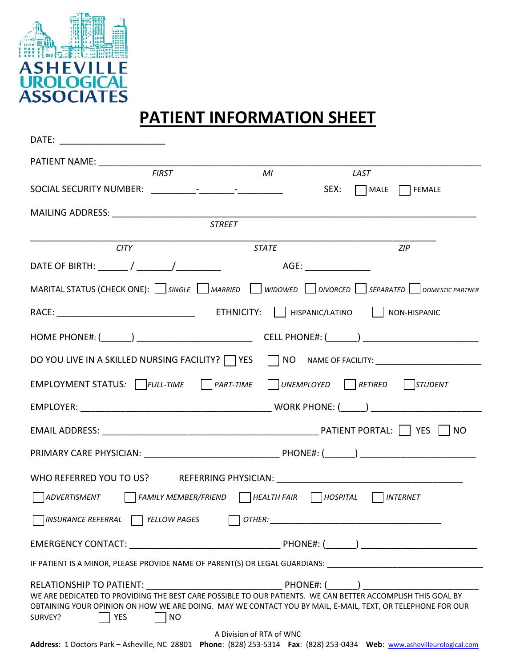

# **PATIENT INFORMATION SHEET**

| DATE: ________________________                                                                                                                                                                                                                                  |                          |                  |
|-----------------------------------------------------------------------------------------------------------------------------------------------------------------------------------------------------------------------------------------------------------------|--------------------------|------------------|
|                                                                                                                                                                                                                                                                 |                          |                  |
| <b>FIRST</b>                                                                                                                                                                                                                                                    | M                        | <b>LAST</b>      |
|                                                                                                                                                                                                                                                                 |                          | SEX: MALE FEMALE |
|                                                                                                                                                                                                                                                                 |                          |                  |
|                                                                                                                                                                                                                                                                 | <b>STREET</b>            |                  |
| <b>CITY</b>                                                                                                                                                                                                                                                     | <b>STATE</b>             | ZIP              |
|                                                                                                                                                                                                                                                                 |                          |                  |
| MARITAL STATUS (CHECK ONE): $\Box$ SINGLE $\Box$ MARRIED $\Box$ WIDOWED $\Box$ DIVORCED $\Box$ SEPARATED $\Box$ DOMESTIC PARTNER                                                                                                                                |                          |                  |
|                                                                                                                                                                                                                                                                 |                          |                  |
|                                                                                                                                                                                                                                                                 |                          |                  |
| DO YOU LIVE IN A SKILLED NURSING FACILITY? THES THE NO NAME OF FACILITY: NO TO ALL A SKILLED NURSING FACILITY? THESE THE NO NAME OF FACILITY:                                                                                                                   |                          |                  |
| EMPLOYMENT STATUS: FULL-TIME PART-TIME UNEMPLOYED RETIRED STUDENT                                                                                                                                                                                               |                          |                  |
|                                                                                                                                                                                                                                                                 |                          |                  |
|                                                                                                                                                                                                                                                                 |                          |                  |
|                                                                                                                                                                                                                                                                 |                          |                  |
| WHO REFERRED YOU TO US? REFERRING PHYSICIAN: ___________________________________                                                                                                                                                                                |                          |                  |
| $\Box$ ADVERTISMENT $\Box$ FAMILY MEMBER/FRIEND $\Box$ HEALTH FAIR $\Box$ HOSPITAL $\Box$ INTERNET                                                                                                                                                              |                          |                  |
| YELLOW PAGES<br>INSURANCE REFERRAL                                                                                                                                                                                                                              | OTHER:                   |                  |
|                                                                                                                                                                                                                                                                 |                          |                  |
| IF PATIENT IS A MINOR, PLEASE PROVIDE NAME OF PARENT(S) OR LEGAL GUARDIANS: UNIVERSITY AND ACCOUNT AND ACCOUNT                                                                                                                                                  |                          |                  |
| WE ARE DEDICATED TO PROVIDING THE BEST CARE POSSIBLE TO OUR PATIENTS. WE CAN BETTER ACCOMPLISH THIS GOAL BY<br>OBTAINING YOUR OPINION ON HOW WE ARE DOING. MAY WE CONTACT YOU BY MAIL, E-MAIL, TEXT, OR TELEPHONE FOR OUR<br><b>YES</b><br><b>NO</b><br>SURVEY? |                          |                  |
| Address: 1 Doctors Park - Asheville, NC 28801 Phone: (828) 253-5314 Fax: (828) 253-0434 Web: www.ashevilleurological.com                                                                                                                                        | A Division of RTA of WNC |                  |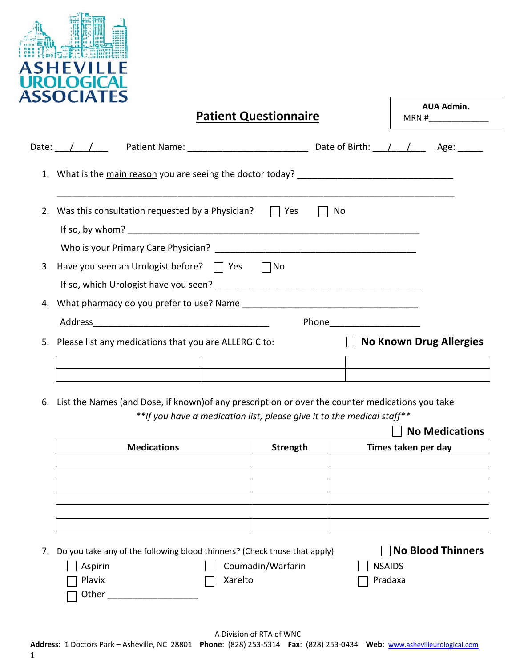

| <b>Patient Questionnaire</b>                                  |                             | <b>AUA Admin.</b>              |
|---------------------------------------------------------------|-----------------------------|--------------------------------|
|                                                               |                             |                                |
|                                                               |                             |                                |
| 2. Was this consultation requested by a Physician? $\Box$ Yes | No                          |                                |
|                                                               |                             |                                |
|                                                               |                             |                                |
| 3. Have you seen an Urologist before? $\Box$ Yes $\Box$ No    |                             |                                |
|                                                               |                             |                                |
|                                                               |                             |                                |
|                                                               | Phone______________________ |                                |
| 5. Please list any medications that you are ALLERGIC to:      |                             | <b>No Known Drug Allergies</b> |
|                                                               |                             |                                |
|                                                               |                             |                                |

6. List the Names (and Dose, if known)of any prescription or over the counter medications you take *\*\*If you have a medication list, please give it to the medical staff\*\** 

# **No Medications**

| <b>Medications</b> | Strength | Times taken per day |
|--------------------|----------|---------------------|
|                    |          |                     |
|                    |          |                     |
|                    |          |                     |
|                    |          |                     |
|                    |          |                     |
|                    |          |                     |

7. Do you take any of the following blood thinners? (Check those that apply) **No Blood Thinners**

| $\vert$   Aspirin | Coumadin/Warfarin | NSAIDS         |
|-------------------|-------------------|----------------|
| $\Box$ Plavix     | Xarelto           | $\Box$ Pradaxa |
| $\Box$ Other      |                   |                |

1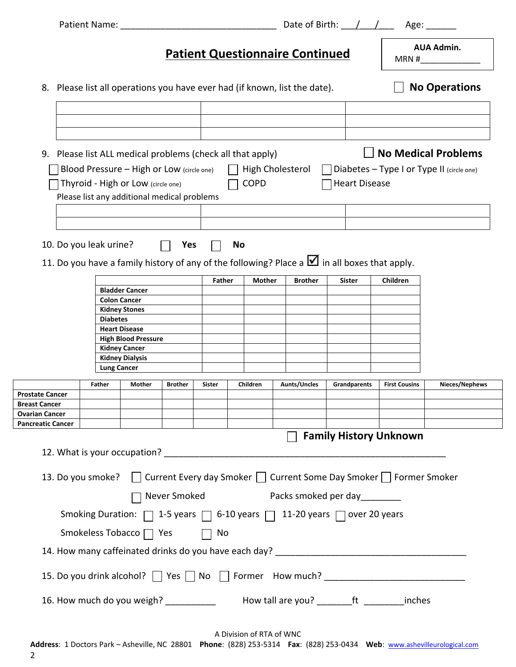|                                                                                              | Patient Name:                                                                                      |                                                                                                                                                                                              |         |               |    | Date of Birth: $\angle$ / |                            | Age: $\_\_$                   |                      |                                                                         |
|----------------------------------------------------------------------------------------------|----------------------------------------------------------------------------------------------------|----------------------------------------------------------------------------------------------------------------------------------------------------------------------------------------------|---------|---------------|----|---------------------------|----------------------------|-------------------------------|----------------------|-------------------------------------------------------------------------|
|                                                                                              | <b>AUA Admin.</b><br><b>Patient Questionnaire Continued</b><br>MRN #                               |                                                                                                                                                                                              |         |               |    |                           |                            |                               |                      |                                                                         |
|                                                                                              | <b>No Operations</b><br>8. Please list all operations you have ever had (if known, list the date). |                                                                                                                                                                                              |         |               |    |                           |                            |                               |                      |                                                                         |
|                                                                                              |                                                                                                    |                                                                                                                                                                                              |         |               |    |                           |                            |                               |                      |                                                                         |
|                                                                                              |                                                                                                    | 9. Please list ALL medical problems (check all that apply)<br>Blood Pressure - High or Low (circle one)<br>Thyroid - High or Low (circle one)<br>Please list any additional medical problems |         |               |    | <b>COPD</b>               | High Cholesterol           | <b>Heart Disease</b>          |                      | <b>No Medical Problems</b><br>Diabetes - Type I or Type II (circle one) |
|                                                                                              |                                                                                                    |                                                                                                                                                                                              |         |               |    |                           |                            |                               |                      |                                                                         |
| 10. Do you leak urine?                                                                       |                                                                                                    |                                                                                                                                                                                              | Yes     |               | No |                           |                            |                               |                      |                                                                         |
|                                                                                              |                                                                                                    | 11. Do you have a family history of any of the following? Place a $\blacksquare$ in all boxes that apply.                                                                                    |         |               |    |                           |                            |                               |                      |                                                                         |
|                                                                                              |                                                                                                    | <b>Bladder Cancer</b>                                                                                                                                                                        |         | <b>Father</b> |    | Mother                    | <b>Brother</b>             | Sister                        | Children             |                                                                         |
|                                                                                              |                                                                                                    | <b>Colon Cancer</b>                                                                                                                                                                          |         |               |    |                           |                            |                               |                      |                                                                         |
|                                                                                              |                                                                                                    | <b>Kidney Stones</b>                                                                                                                                                                         |         |               |    |                           |                            |                               |                      |                                                                         |
|                                                                                              |                                                                                                    | <b>Diabetes</b>                                                                                                                                                                              |         |               |    |                           |                            |                               |                      |                                                                         |
|                                                                                              |                                                                                                    | <b>Heart Disease</b>                                                                                                                                                                         |         |               |    |                           |                            |                               |                      |                                                                         |
|                                                                                              |                                                                                                    | <b>High Blood Pressure</b>                                                                                                                                                                   |         |               |    |                           |                            |                               |                      |                                                                         |
|                                                                                              |                                                                                                    | <b>Kidney Cancer</b>                                                                                                                                                                         |         |               |    |                           |                            |                               |                      |                                                                         |
|                                                                                              |                                                                                                    | <b>Kidney Dialysis</b><br><b>Lung Cancer</b>                                                                                                                                                 |         |               |    |                           |                            |                               |                      |                                                                         |
|                                                                                              |                                                                                                    |                                                                                                                                                                                              |         |               |    |                           |                            |                               |                      |                                                                         |
|                                                                                              | Father                                                                                             | Mother                                                                                                                                                                                       | Brother | Sister        |    | <b>Children</b>           | <b>Aunts/Uncles</b>        | <b>Grandparents</b>           | <b>First Cousins</b> | Nieces/Nephews                                                          |
| <b>Prostate Cancer</b>                                                                       |                                                                                                    |                                                                                                                                                                                              |         |               |    |                           |                            |                               |                      |                                                                         |
| <b>Breast Cancer</b>                                                                         |                                                                                                    |                                                                                                                                                                                              |         |               |    |                           |                            |                               |                      |                                                                         |
| <b>Ovarian Cancer</b><br><b>Pancreatic Cancer</b>                                            |                                                                                                    |                                                                                                                                                                                              |         |               |    |                           |                            |                               |                      |                                                                         |
|                                                                                              |                                                                                                    |                                                                                                                                                                                              |         |               |    |                           | $\mathbf{L}$               | <b>Family History Unknown</b> |                      |                                                                         |
|                                                                                              |                                                                                                    |                                                                                                                                                                                              |         |               |    |                           |                            |                               |                      |                                                                         |
|                                                                                              |                                                                                                    | 13. Do you smoke?   Current Every day Smoker   Current Some Day Smoker   Former Smoker                                                                                                       |         |               |    |                           |                            |                               |                      |                                                                         |
| 7 Never Smoked Facks smoked per day_________                                                 |                                                                                                    |                                                                                                                                                                                              |         |               |    |                           |                            |                               |                      |                                                                         |
| Smoking Duration: $\Box$ 1-5 years $\Box$ 6-10 years $\Box$ 11-20 years $\Box$ over 20 years |                                                                                                    |                                                                                                                                                                                              |         |               |    |                           |                            |                               |                      |                                                                         |
|                                                                                              |                                                                                                    | Smokeless Tobacco □ Yes                                                                                                                                                                      |         | No            |    |                           |                            |                               |                      |                                                                         |
|                                                                                              |                                                                                                    |                                                                                                                                                                                              |         |               |    |                           |                            |                               |                      |                                                                         |
|                                                                                              |                                                                                                    | 15. Do you drink alcohol? Tes Tho Theorem How much? The Test Contains the Second View Much?                                                                                                  |         |               |    |                           |                            |                               |                      |                                                                         |
|                                                                                              |                                                                                                    | 16. How much do you weigh? ______________  How tall are you? _________ft __________inches                                                                                                    |         |               |    |                           |                            |                               |                      |                                                                         |
|                                                                                              |                                                                                                    |                                                                                                                                                                                              |         |               |    |                           | A Division of DTA of WAILD |                               |                      |                                                                         |

2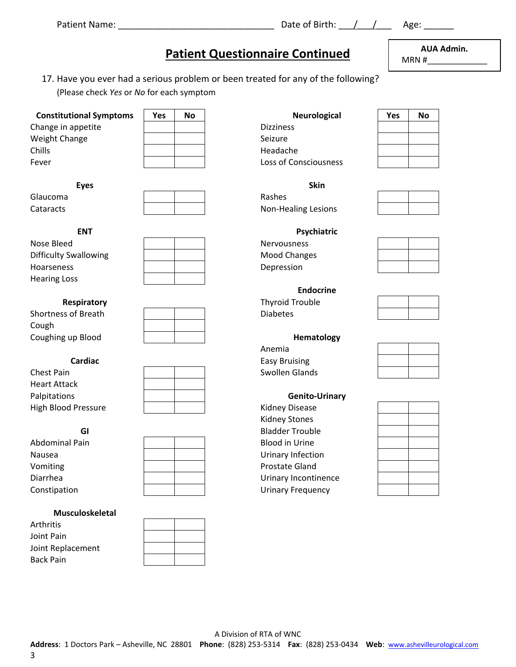# Patient Name: \_\_\_\_\_\_\_\_\_\_\_\_\_\_\_\_\_\_\_\_\_\_\_\_\_\_\_\_\_\_\_ Date of Birth: \_\_\_/\_\_\_/\_\_\_ Age: \_\_\_\_\_\_

# **Patient Questionnaire Continued**

17. Have you ever had a serious problem or been treated for any of the following? (Please check *Yes* or *No* for each symptom

| <b>Constitutional Sympto</b> |
|------------------------------|
| Change in appetite           |
| <b>Weight Change</b>         |
| Chills                       |
| Fever                        |
|                              |

| Yes | No |  |
|-----|----|--|
|     |    |  |
|     |    |  |
|     |    |  |
|     |    |  |

Hearing Loss





|                     | <b>ENUOLINE</b> |                 |  |  |  |
|---------------------|-----------------|-----------------|--|--|--|
| Respiratory         |                 | Thyroid Trouble |  |  |  |
| Shortness of Breath |                 | <b>Diabetes</b> |  |  |  |
| Cough               |                 |                 |  |  |  |
| Coughing up Blood   |                 | Hematology      |  |  |  |

Chest Pain **Chest Pain Chest Pain Chest Pain Accord Paint Chest Pain Accord Pain Chest Pain Accord Pain Accord Pain Accord Pain Accord Pain Accord Pain Accord Pain Accord Pain Accord Pain Accord Pain Accord Pain Accord** Heart Attack Palpitations **Genito‐Urinary** High Blood Pressure **Acceleration Fight Pressure Research Pressure Acceleration** Ridney Disease



|                | DIQUUCI TIUUDIC          |
|----------------|--------------------------|
| Abdominal Pain | <b>Blood in Urine</b>    |
| Nausea         | Urinary Infection        |
| Vomiting       | Prostate Gland           |
| Diarrhea       | Urinary Incontinen       |
| Constipation   | <b>Urinary Frequency</b> |
|                |                          |

## **Musculoskeletal**

Arthritis Joint Pain Joint Replacement Back Pain **Back Pain Back Pain Account Contract Contract Pain Account Contract Pain Account Contract Pain Account Contract Pain Account Contract Pain Account Contract Pain Account Contract Pain Account Contract Pain Acco** 

| <b>Constitutional Symptoms</b> | <b>Yes</b> | No | Neurological          | Yes | No |
|--------------------------------|------------|----|-----------------------|-----|----|
| Change in appetite             |            |    | <b>Dizziness</b>      |     |    |
| Weight Change                  |            |    | Seizure               |     |    |
| <b>Chills</b>                  |            |    | Headache              |     |    |
| Fever                          |            |    | Loss of Consciousness |     |    |

**Eyes Skin**  Glaucoma Rashes Cataracts Non‐Healing Lesions

|                     | Endocrine       |  |
|---------------------|-----------------|--|
| Respiratory         | Thyroid Trouble |  |
| Shortness of Breath | <b>Diabetes</b> |  |

enter a control de la control de la control de la control de la control de la control de la control de la control de la control de la control de la control de la control de la control de la control de la control de la cont **Cardiac Cardiac Easy Bruising** 

 Kidney Stones **GI** Bladder Trouble Diarrhea 
| | | | Urinary Incontinence



**AUA Admin.** 

MRN #\_\_\_\_\_\_\_\_\_\_\_\_\_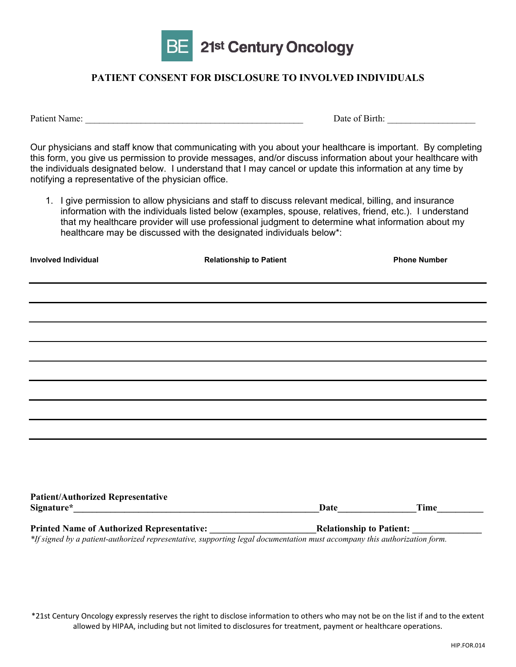

# **PATIENT CONSENT FOR DISCLOSURE TO INVOLVED INDIVIDUALS**

Patient Name: \_\_\_\_\_\_\_\_\_\_\_\_\_\_\_\_\_\_\_\_\_\_\_\_\_\_\_\_\_\_\_\_\_\_\_\_\_\_\_\_\_\_\_\_\_\_\_ Date of Birth: \_\_\_\_\_\_\_\_\_\_\_\_\_\_\_\_\_\_\_

Our physicians and staff know that communicating with you about your healthcare is important. By completing this form, you give us permission to provide messages, and/or discuss information about your healthcare with the individuals designated below. I understand that I may cancel or update this information at any time by notifying a representative of the physician office.

1. I give permission to allow physicians and staff to discuss relevant medical, billing, and insurance information with the individuals listed below (examples, spouse, relatives, friend, etc.). I understand that my healthcare provider will use professional judgment to determine what information about my healthcare may be discussed with the designated individuals below\*:

| <b>Involved Individual</b>                                                                                                                    | <b>Relationship to Patient</b> | <b>Phone Number</b>             |      |
|-----------------------------------------------------------------------------------------------------------------------------------------------|--------------------------------|---------------------------------|------|
| <u> 1989 - Johann Stoff, amerikansk politiker (d. 1989)</u>                                                                                   |                                |                                 |      |
| ,我们也不会有什么。""我们的人,我们也不会有什么?""我们的人,我们也不会有什么?""我们的人,我们也不会有什么?""我们的人,我们也不会有什么?""我们的人<br><u> 1989 - John Stoff, amerikansk politiker (d. 1989)</u> |                                |                                 |      |
| ,我们也不会有什么。""我们的人,我们也不会有什么?""我们的人,我们也不会有什么?""我们的人,我们也不会有什么?""我们的人,我们也不会有什么?""我们的人                                                              |                                |                                 |      |
|                                                                                                                                               |                                |                                 |      |
|                                                                                                                                               |                                |                                 |      |
|                                                                                                                                               |                                |                                 |      |
|                                                                                                                                               |                                |                                 |      |
|                                                                                                                                               |                                |                                 |      |
|                                                                                                                                               |                                |                                 |      |
| <b>Patient/Authorized Representative</b>                                                                                                      |                                | Date                            | Time |
| <b>Printed Name of Authorized Representative:</b>                                                                                             |                                | <b>Relationship to Patient:</b> |      |

*\*If signed by a patient-authorized representative, supporting legal documentation must accompany this authorization form.* 

\*21st Century Oncology expressly reserves the right to disclose information to others who may not be on the list if and to the extent allowed by HIPAA, including but not limited to disclosures for treatment, payment or healthcare operations.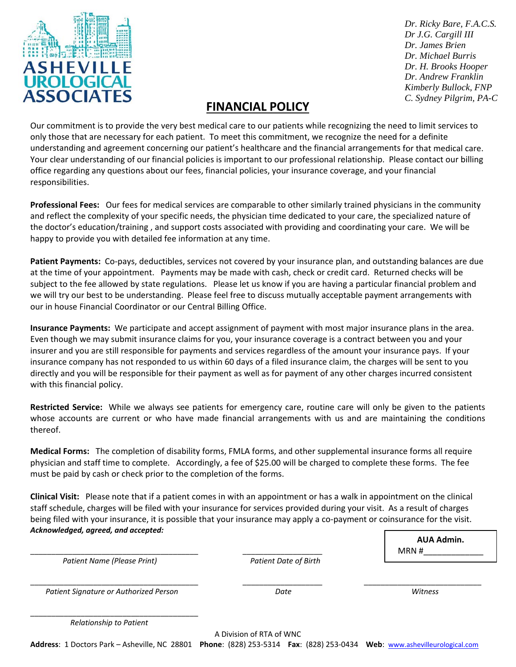

*Dr. Ricky Bare, F.A.C.S. Dr J.G. Cargill III Dr. James Brien Dr. Michael Burris Dr. H. Brooks Hooper Dr. Andrew Franklin Kimberly Bullock, FNP C. Sydney Pilgrim, PA-C*

# **FINANCIAL POLICY**

Our commitment is to provide the very best medical care to our patients while recognizing the need to limit services to only those that are necessary for each patient. To meet this commitment, we recognize the need for a definite understanding and agreement concerning our patient's healthcare and the financial arrangements for that medical care. Your clear understanding of our financial policies is important to our professional relationship. Please contact our billing office regarding any questions about our fees, financial policies, your insurance coverage, and your financial responsibilities.

**Professional Fees:** Our fees for medical services are comparable to other similarly trained physicians in the community and reflect the complexity of your specific needs, the physician time dedicated to your care, the specialized nature of the doctor's education/training , and support costs associated with providing and coordinating your care. We will be happy to provide you with detailed fee information at any time.

**Patient Payments:** Co‐pays, deductibles, services not covered by your insurance plan, and outstanding balances are due at the time of your appointment. Payments may be made with cash, check or credit card. Returned checks will be subject to the fee allowed by state regulations. Please let us know if you are having a particular financial problem and we will try our best to be understanding. Please feel free to discuss mutually acceptable payment arrangements with our in house Financial Coordinator or our Central Billing Office.

**Insurance Payments:** We participate and accept assignment of payment with most major insurance plans in the area. Even though we may submit insurance claims for you, your insurance coverage is a contract between you and your insurer and you are still responsible for payments and services regardless of the amount your insurance pays. If your insurance company has not responded to us within 60 days of a filed insurance claim, the charges will be sent to you directly and you will be responsible for their payment as well as for payment of any other charges incurred consistent with this financial policy.

**Restricted Service:** While we always see patients for emergency care, routine care will only be given to the patients whose accounts are current or who have made financial arrangements with us and are maintaining the conditions thereof.

**Medical Forms:** The completion of disability forms, FMLA forms, and other supplemental insurance forms all require physician and staff time to complete. Accordingly, a fee of \$25.00 will be charged to complete these forms. The fee must be paid by cash or check prior to the completion of the forms.

**Clinical Visit:** Please note that if a patient comes in with an appointment or has a walk in appointment on the clinical staff schedule, charges will be filed with your insurance for services provided during your visit. As a result of charges being filed with your insurance, it is possible that your insurance may apply a co-payment or coinsurance for the visit. *Acknowledged, agreed, and accepted:*

A Division of RTA of WNC \_\_\_\_\_\_\_\_\_\_\_\_\_\_\_\_\_\_\_\_\_\_\_\_\_\_\_\_\_\_\_\_\_\_\_\_\_\_\_\_ \_\_\_\_\_\_\_\_\_\_\_\_\_\_\_\_\_\_\_  *Patient Name (Please Print) Patient Date of Birth*  $\Box$  *Patient Signature or Authorized Person Date Witness* \_\_\_\_\_\_\_\_\_\_\_\_\_\_\_\_\_\_\_\_\_\_\_\_\_\_\_\_\_\_\_\_\_\_\_\_\_\_\_\_ *Relationship to Patient* **AUA Admin.**  MRN #\_\_\_\_\_\_\_\_\_\_\_\_\_

**Address**: 1 Doctors Park – Asheville, NC 28801 **Phone**: (828) 253‐5314 **Fax**: (828) 253‐0434 **Web**: www.ashevilleurological.com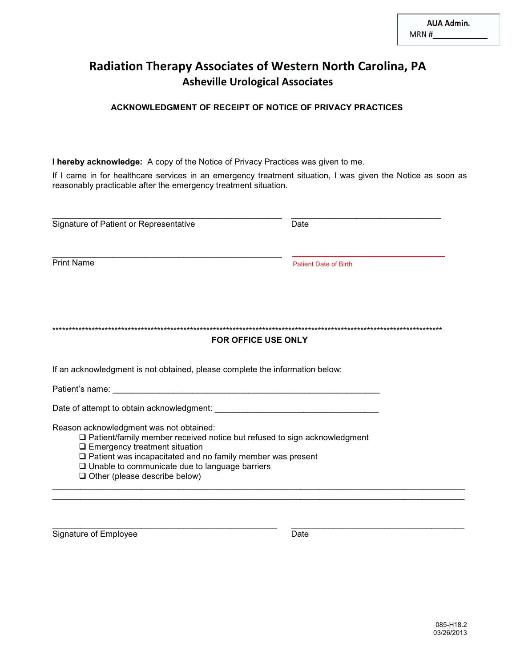# **Radiation Therapy Associates of Western North Carolina, PA Asheville Urological Associates**

## **ACKNOWLEDGMENT OF RECEIPT OF NOTICE OF PRIVACY PRACTICES**

**I hereby acknowledge:** A copy of the Notice of Privacy Practices was given to me.

If I came in for healthcare services in an emergency treatment situation, I was given the Notice as soon as reasonably practicable after the emergency treatment situation.

| Signature of Patient or Representative                                                                                                                                                                                                                                                                                                            | Date                         |
|---------------------------------------------------------------------------------------------------------------------------------------------------------------------------------------------------------------------------------------------------------------------------------------------------------------------------------------------------|------------------------------|
|                                                                                                                                                                                                                                                                                                                                                   |                              |
| <b>Print Name</b>                                                                                                                                                                                                                                                                                                                                 | <b>Patient Date of Birth</b> |
| <b>FOR OFFICE USE ONLY</b>                                                                                                                                                                                                                                                                                                                        |                              |
| If an acknowledgment is not obtained, please complete the information below:                                                                                                                                                                                                                                                                      |                              |
|                                                                                                                                                                                                                                                                                                                                                   |                              |
| Date of attempt to obtain acknowledgment: Learning and the control of the control of the control of the control of the control of the control of the control of the control of the control of the control of the control of th                                                                                                                    |                              |
| Reason acknowledgment was not obtained:<br>$\Box$ Patient/family member received notice but refused to sign acknowledgment<br>$\square$ Emergency treatment situation<br>$\square$ Patient was incapacitated and no family member was present<br>$\square$ Unable to communicate due to language barriers<br>$\Box$ Other (please describe below) |                              |

\_\_\_\_\_\_\_\_\_\_\_\_\_\_\_\_\_\_\_\_\_\_\_\_\_\_\_\_\_\_\_\_\_\_\_\_\_\_\_\_\_\_\_\_\_\_\_\_\_\_\_\_\_\_\_\_\_\_\_\_\_\_\_\_\_\_\_\_\_\_\_\_\_\_\_\_\_\_\_\_\_\_\_\_\_\_\_\_

\_\_\_\_\_\_\_\_\_\_\_\_\_\_\_\_\_\_\_\_\_\_\_\_\_\_\_\_\_\_\_\_\_\_\_\_\_\_\_\_\_\_\_\_\_\_\_\_ \_\_\_\_\_\_\_\_\_\_\_\_\_\_\_\_\_\_\_\_\_\_\_\_\_\_\_\_\_\_\_\_\_\_\_\_\_

Signature of Employee Date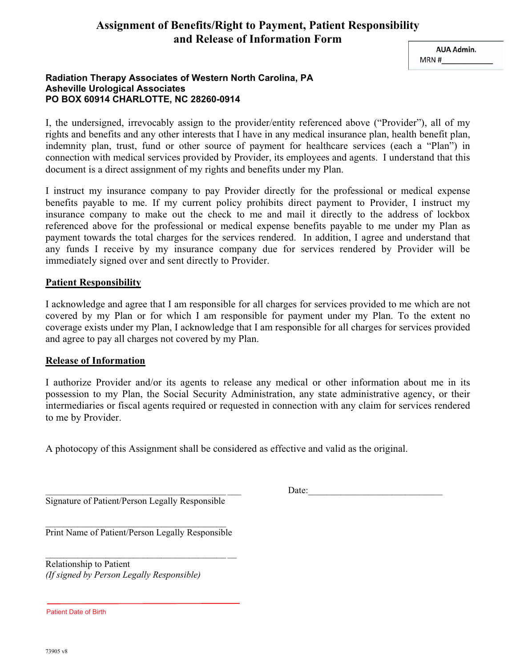# **Assignment of Benefits/Right to Payment, Patient Responsibility and Release of Information Form**

**AUA Admin.** MRN #

## **Radiation Therapy Associates of Western North Carolina, PA Asheville Urological Associates PO BOX 60914 CHARLOTTE, NC 28260-0914**

I, the undersigned, irrevocably assign to the provider/entity referenced above ("Provider"), all of my rights and benefits and any other interests that I have in any medical insurance plan, health benefit plan, indemnity plan, trust, fund or other source of payment for healthcare services (each a "Plan") in connection with medical services provided by Provider, its employees and agents. I understand that this document is a direct assignment of my rights and benefits under my Plan.

I instruct my insurance company to pay Provider directly for the professional or medical expense benefits payable to me. If my current policy prohibits direct payment to Provider, I instruct my insurance company to make out the check to me and mail it directly to the address of lockbox referenced above for the professional or medical expense benefits payable to me under my Plan as payment towards the total charges for the services rendered. In addition, I agree and understand that any funds I receive by my insurance company due for services rendered by Provider will be immediately signed over and sent directly to Provider.

## **Patient Responsibility**

I acknowledge and agree that I am responsible for all charges for services provided to me which are not covered by my Plan or for which I am responsible for payment under my Plan. To the extent no coverage exists under my Plan, I acknowledge that I am responsible for all charges for services provided and agree to pay all charges not covered by my Plan.

## **Release of Information**

I authorize Provider and/or its agents to release any medical or other information about me in its possession to my Plan, the Social Security Administration, any state administrative agency, or their intermediaries or fiscal agents required or requested in connection with any claim for services rendered to me by Provider.

A photocopy of this Assignment shall be considered as effective and valid as the original.

Signature of Patient/Person Legally Responsible

 $\Box$  Date:

 $\overline{\phantom{a}}$  , where  $\overline{\phantom{a}}$  , where  $\overline{\phantom{a}}$  , where  $\overline{\phantom{a}}$ Print Name of Patient/Person Legally Responsible

\_\_\_\_\_\_\_\_\_\_\_\_\_\_\_\_\_\_\_\_\_\_\_\_\_\_\_\_\_\_\_\_\_\_\_\_\_\_\_ \_\_

Relationship to Patient *(If signed by Person Legally Responsible)* 

Patient Date of Birth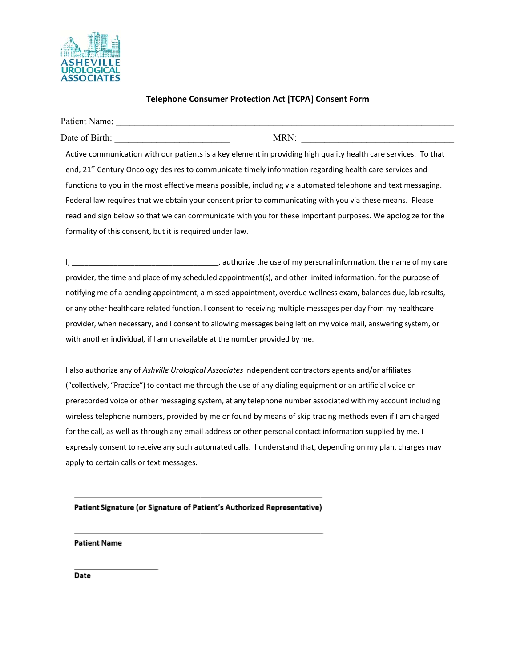

## **Telephone Consumer Protection Act [TCPA] Consent Form**

| Patient Name:                                                                                                       |      |  |
|---------------------------------------------------------------------------------------------------------------------|------|--|
| Date of Birth:                                                                                                      | MRN: |  |
| Active communication with our patients is a key element in providing high quality health care services. To that     |      |  |
| end, 21 <sup>st</sup> Century Oncology desires to communicate timely information regarding health care services and |      |  |
| functions to you in the most effective means possible, including via automated telephone and text messaging.        |      |  |
| Federal law requires that we obtain your consent prior to communicating with you via these means. Please            |      |  |
| read and sign below so that we can communicate with you for these important purposes. We apologize for the          |      |  |
| formality of this consent, but it is required under law.                                                            |      |  |

I, \_\_\_\_\_\_\_\_\_\_\_\_\_\_\_\_\_\_\_\_\_\_\_\_\_\_\_\_\_\_\_\_\_\_\_, authorize the use of my personal information, the name of my care provider, the time and place of my scheduled appointment(s), and other limited information, for the purpose of notifying me of a pending appointment, a missed appointment, overdue wellness exam, balances due, lab results, or any other healthcare related function. I consent to receiving multiple messages per day from my healthcare provider, when necessary, and I consent to allowing messages being left on my voice mail, answering system, or with another individual, if I am unavailable at the number provided by me.

I also authorize any of *Ashville Urological Associates* independent contractors agents and/or affiliates ("collectively, "Practice") to contact me through the use of any dialing equipment or an artificial voice or prerecorded voice or other messaging system, at any telephone number associated with my account including wireless telephone numbers, provided by me or found by means of skip tracing methods even if I am charged for the call, as well as through any email address or other personal contact information supplied by me. I expressly consent to receive any such automated calls. I understand that, depending on my plan, charges may apply to certain calls or text messages.

## Patient Signature (or Signature of Patient's Authorized Representative)

### **Patient Name**

Date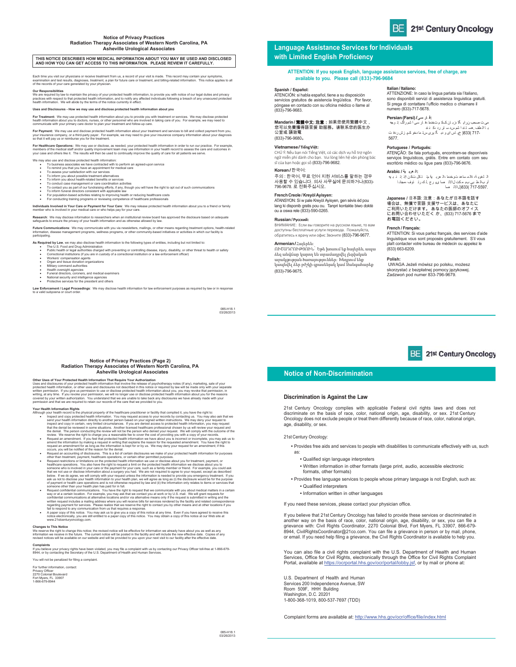### **Notice of Privacy Practices Radiation Therapy Associates of Western North Carolina, PA Asheville Urological Associates**

**THIS NOTICE DESCRIBES HOW MEDICAL INFORMATION ABOUT YOU MAY BE USED AND DISCLOSED AND HOW YOU CAN GET ACCESS TO THIS INFORMATION. PLEASE REVIEW IT CAREFULLY.** 

 Each time you visit our physicians or receive treatment from us, a record of your visit is made. This record may contain your symptoms,<br>examination and test results, diagnoses, treatment, a plan for future care or treatmen

Our Responsibilities<br>We are required by law to maintain the privacy of your protected health information, to provide you with notice of our legal duties and privacy<br>practices with respect to that protected health informati

**Sures - How we may use and disclose protected health in** 

**For Treatment:** We may use protected health information about you to provide you with treatment or services. We may disclose protected<br>health information about you to doctors, nurses, or other personnel who are involved i

**For Payment:** We may use and disclose protected health information about your treatment and services to bill and collect payment from you,<br>your insurance company, or a third-party payer. For example, we may need to give y

**For Healthcare Operations:** We may use or disclose, as needed, your protected health information in order to run our practice. For example,<br>members of the medical staff and/or quality improvement team may use information

- We may also use and disclose protected health information:<br>• To business associates we have contracted with to perform an agreed-upon service<br>• To remind you that you have an appointment for medical care<br>• To inform you ab
	-
	-
	-

• To conduct case management or care coordination achiviles<br>• To contact you as part of our fundraising efficis, if any, though you will have the right to opt out of such communications<br>• To inform funeral directors consis

**Individuals Involved in Your Care or Payment for Your Care**: We may release protected health information about you to a friend or family<br>member who is involved in your medical care or who helps pay for your care.

**Research**: We may disclose information to researchers when an institutional review board has approved the disclosure based on adequate<br>safeguards to ensure the privacy of your health information and as otherwise allowed b Future Communications: We may communicate with you via newsletters, mailings, or other means regarding treatment options, health-related<br>information, disease management programs, wellness programs, or other community-based

As Required by Law, we may also disclose headth information to the following types of entities, including but not limited to:<br>The U.S. Food and Drug Administration<br>• Public health or legal authorities charged with preventi

- 
- 
- x Workers' compensation agents x Organ and tissue donation organizations x Military command authorities
- 
- 
- x Health oversight agencies x Funeral directors, coroners, and medical examiners x National security and intelligence agencies x Protective services for the president and others
- 
- 

**Law Enforcement / Legal Proceedings**: We may disclose health information for law enforcement purposes as required by law or in response to a valid subpoena or court order.

085-H18.1 03/26/2013

### **Language Assistance Services for Individuals with Limited English Proficiency**

### **ATTENTION: If you speak English, language assistance services, free of charge, are available to you. Please call (833)-796-9684**

### **Spanish / Español:**

ATENCIÓN: si habla español, tiene a su disposición servicios gratuitos de asistencia lingüística. Por favor, póngase en contacto con su oficina médico o llame al (833)-796-9683.

**Mandarin / <b>集體中文: 注意:**如果您使用繁體中文,<br>您可以免費獲得語言援 助服務。请联系您的医生办 公室或 請致電 (833)-796-9680ᇭ

### **Vietnamese / Tiếng Việt:**

CHÚ Ý: Nêu bạn nói Tiêng Việt, có các dịch vụ hỗ trợ ngôn<br>ngữ miễn phí dành cho bạn. Vui lòng liên hệ văn phòng bác<br>sĩ của bạn hoặc gọi số **(833)-796-9682**.

### Korean / 하군어·

늱넍뼑霢꽩ꓩꊁ꽭꽩덵낅ꟹ걙ꌱꎅ뼍鱉陲끥 사용할 수 있습니다. 의사 사무실에 문의하거나(833)-<br>796-9678. 로 전화주십시오.

**French Creole / Kreyòl Ayisyen:**<br>ATANSYON: Si w pale Kreyòl Ayisyen, gen sèvis èd pou<br>lang ki disponib gratis pou ou. Tanpri kontakte biwo doktè<br>ou a oswa rele (833)-590-0265.

**Russian / Русский:** ВНИМАНИЕ: Если вы говорите на русском языке, то вам доступны бесплатные услуги перевода. Пожалуйста, обратитесь к врачу или офис Звоните (833)-796-9677.

### **Armenian /** Հայերեն:

ՈՒՇԱԴՐՈՒԹՅՈՒՆ՝ Եթե խոսում եք հայերեն, ապա ձեզ անվճար կարող են տրամադրվել լեզվական աջակցության ծառայություններ: Խնդրում ենք կապնվել ձեր բժշկի գրասենյակ կամ Զանգահարեք (833)-796-9675.

ATTENZIONE: In caso la lingua parlata sia l'italiano, sono disponibili servizi di assistenza linguistica gratuiti. Si prega di contattare l'ufficio medico o chiamare il numero (833)-717-5678.

**Italian / Italiano:**

**:ف ار سوی/Persian (Farsi)**<br>حب ن رادِ گا ،زبـ ان کـک م تـخدما ،فـ ار سـی ا شمرراگ :تـ وجه می ت صحب زیراد ِ گا نزد بان کـک م تــُـخـما ،فـ بار سی ا شم راگ :تـ وجه<br>بـ ا الـطف .هسـ دّ ند ا شم س.د سـ تر رد ،کــ ذند<br>- 833( 717- في بــاس اي و دبــ گـ بری س؟ـ مادخو کــدٍ زش ردفـ ت<br>- 8577.

### **Portuguese / Português:**

ATENÇÃO: Se fala português, encontram-se disponíveis serviços linguísticos, grátis. Entre em contato com seu escritório médico ou ligue para (833)-796-9676.

**:ال عرب یة / Arabic** ال ل غوی ة، ةال م ساعد توخدما ،ال عرب یة مت ت كل تك ن اإذ :ت ن ب یھ أو بال ط بي بب م كت لالات صا ىی رج .ل ك رت توف ،مجان ا 717-5597. )833(لالات صا

**Japanese /** 日本語: 注意:あなたが日本語を話す<br>場合は、無償で言語 支援サービスは、あなののオフィス<br>ご利用いただけせいただく か、(833) 717-5676 まで<br>にお問い合わせいただく か、(833) 717-5676 まで お電話ください。

### **French / Français:**

ATTENTION: Si vous parlez français, des services d'aide linguistique vous sont proposés gratuitement. S'il vous plaît contacter votre bureau de médecin ou appelez le (833) 663-6209.

### **Polish:**

 UWAGA Jeżeli mówisz po polsku, możesz skorzystać z bezpłatnej pomocy językowej. Zadzwoń pod numer 833-796-9679.

## 21st Century Oncology

### **Notice of Non-Discrimination**

### **Discrimination is Against the Law**

21st Century Oncology complies with applicable Federal civil rights laws and does not discriminate on the basis of race, color, national origin, age, disability, or sex. 21st Century Oncology does not exclude people or treat them differently because of race, color, national origin, age, disability, or sex.

### 21st Century Oncology:

• Provides free aids and services to people with disabilities to communicate effectively with us, such as:

- Qualified sign language interpreters
- Written information in other formats (large print, audio, accessible electronic formats, other formats)
- Provides free language services to people whose primary language is not English, such as: • Qualified interpreters
	- Information written in other languages
- 

If you need these services, please contact your physician office.

If you believe that 21st Century Oncology has failed to provide these services or discriminated in another way on the basis of race, color, national origin, age, disability, or sex, you can file a grievance with: Civil Rights Coordinator, 2270 Colonial Blvd, Fort Myers, FL 33907, 866-679- 8944, CivilRightsCoordinator@21co.com. You can file a grievance in person or by mail, phone, or email. If you need help filing a grievance, the Civil Rights Coordinator is available to help you.

You can also file a civil rights complaint with the U.S. Department of Health and Human Services, Office for Civil Rights, electronically through the Office for Civil Rights Complaint Portal, available at https://ocrportal.hhs.gov/ocr/portal/lobby.jsf, or by mail or phone at:

U.S. Department of Health and Human Services 200 Independence Avenue, SW Room 509F, HHH Building Washington, D.C. 20201 1-800-368-1019, 800-537-7697 (TDD)

Complaint forms are available at: http://www.hhs.gov/ocr/office/file/index.html

### **Notice of Privacy Practices (Page 2) Radiation Therapy Associates of Western North Carolina, PA Asheville Urological Associates**

Other Uses of Your Protected Health information That Require Your Authorization<br>Uses and disclosures of your protected health information That Involve the release of psychotherapy notes (if any), marketing, sale of your<br>Us

- 
- 
- 
- Your Health information Rights<br>
How the physical property of the healthcare practitioner or facility that compiled it, you have the right to:<br>
"Inspected to physical property of the healthcare practitioner or facility that
- All to respond to any communication from us that requires a response. we wave you uy ourser interest and us the<br>A paper copy of this notice. You may ask us to give you a copy of this notice at any time. Even if you have ag
- 

C**hanges to This Notice**<br>We reserve the right to change this notice; the revised notice will be effective for information we already have about you as well as any<br>information we receive in the future. The current notice wi

**Complaints**<br>If you believe your privacy rights have been violated, you may file a complaint with us by contacting our Privacy Officer toll-free at 1-866-679-<br>8944, or by contacting the Secretary of the U.S. Department of You will not be penalized for filing a complaint.

For further information, contact: Privacy Officer 2270 Colonial Boulevard Fort Myers, FL 33907 1-866-679-8944